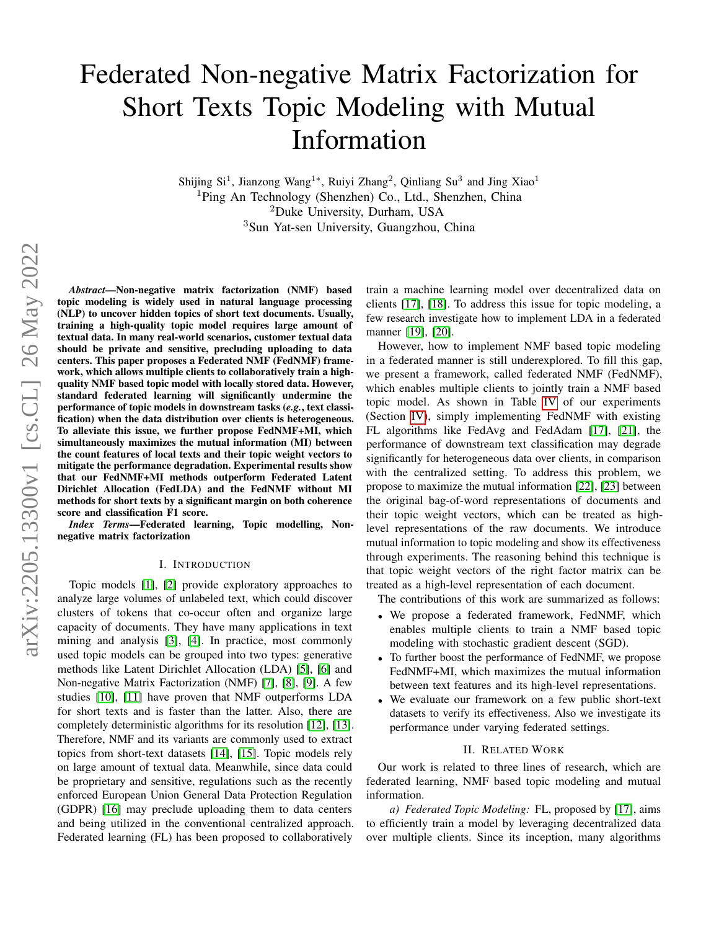# Federated Non-negative Matrix Factorization for Short Texts Topic Modeling with Mutual Information

Shijing Si<sup>1</sup>, Jianzong Wang<sup>1</sup>\*, Ruiyi Zhang<sup>2</sup>, Qinliang Su<sup>3</sup> and Jing Xiao<sup>1</sup> Ping An Technology (Shenzhen) Co., Ltd., Shenzhen, China Duke University, Durham, USA Sun Yat-sen University, Guangzhou, China

*Abstract*—Non-negative matrix factorization (NMF) based topic modeling is widely used in natural language processing (NLP) to uncover hidden topics of short text documents. Usually, training a high-quality topic model requires large amount of textual data. In many real-world scenarios, customer textual data should be private and sensitive, precluding uploading to data centers. This paper proposes a Federated NMF (FedNMF) framework, which allows multiple clients to collaboratively train a highquality NMF based topic model with locally stored data. However, standard federated learning will significantly undermine the performance of topic models in downstream tasks (*e.g.*, text classification) when the data distribution over clients is heterogeneous. To alleviate this issue, we further propose FedNMF+MI, which simultaneously maximizes the mutual information (MI) between the count features of local texts and their topic weight vectors to mitigate the performance degradation. Experimental results show that our FedNMF+MI methods outperform Federated Latent Dirichlet Allocation (FedLDA) and the FedNMF without MI methods for short texts by a significant margin on both coherence score and classification F1 score.

*Index Terms*—Federated learning, Topic modelling, Nonnegative matrix factorization

## I. INTRODUCTION

Topic models [\[1\]](#page-6-0), [\[2\]](#page-6-1) provide exploratory approaches to analyze large volumes of unlabeled text, which could discover clusters of tokens that co-occur often and organize large capacity of documents. They have many applications in text mining and analysis [\[3\]](#page-6-2), [\[4\]](#page-6-3). In practice, most commonly used topic models can be grouped into two types: generative methods like Latent Dirichlet Allocation (LDA) [\[5\]](#page-6-4), [\[6\]](#page-6-5) and Non-negative Matrix Factorization (NMF) [\[7\]](#page-6-6), [\[8\]](#page-6-7), [\[9\]](#page-6-8). A few studies [\[10\]](#page-6-9), [\[11\]](#page-6-10) have proven that NMF outperforms LDA for short texts and is faster than the latter. Also, there are completely deterministic algorithms for its resolution [\[12\]](#page-6-11), [\[13\]](#page-6-12). Therefore, NMF and its variants are commonly used to extract topics from short-text datasets [\[14\]](#page-6-13), [\[15\]](#page-6-14). Topic models rely on large amount of textual data. Meanwhile, since data could be proprietary and sensitive, regulations such as the recently enforced European Union General Data Protection Regulation (GDPR) [\[16\]](#page-6-15) may preclude uploading them to data centers and being utilized in the conventional centralized approach. Federated learning (FL) has been proposed to collaboratively

train a machine learning model over decentralized data on clients [\[17\]](#page-6-16), [\[18\]](#page-6-17). To address this issue for topic modeling, a few research investigate how to implement LDA in a federated manner [\[19\]](#page-6-18), [\[20\]](#page-6-19).

However, how to implement NMF based topic modeling in a federated manner is still underexplored. To fill this gap, we present a framework, called federated NMF (FedNMF), which enables multiple clients to jointly train a NMF based topic model. As shown in Table [IV](#page-4-0) of our experiments (Section [IV\)](#page-2-0), simply implementing FedNMF with existing FL algorithms like FedAvg and FedAdam [\[17\]](#page-6-16), [\[21\]](#page-6-20), the performance of downstream text classification may degrade significantly for heterogeneous data over clients, in comparison with the centralized setting. To address this problem, we propose to maximize the mutual information [\[22\]](#page-6-21), [\[23\]](#page-6-22) between the original bag-of-word representations of documents and their topic weight vectors, which can be treated as highlevel representations of the raw documents. We introduce mutual information to topic modeling and show its effectiveness through experiments. The reasoning behind this technique is that topic weight vectors of the right factor matrix can be treated as a high-level representation of each document.

The contributions of this work are summarized as follows:

- We propose a federated framework, FedNMF, which enables multiple clients to train a NMF based topic modeling with stochastic gradient descent (SGD).
- To further boost the performance of FedNMF, we propose FedNMF+MI, which maximizes the mutual information between text features and its high-level representations.
- We evaluate our framework on a few public short-text datasets to verify its effectiveness. Also we investigate its performance under varying federated settings.

#### II. RELATED WORK

Our work is related to three lines of research, which are federated learning, NMF based topic modeling and mutual information.

*a) Federated Topic Modeling:* FL, proposed by [\[17\]](#page-6-16), aims to efficiently train a model by leveraging decentralized data over multiple clients. Since its inception, many algorithms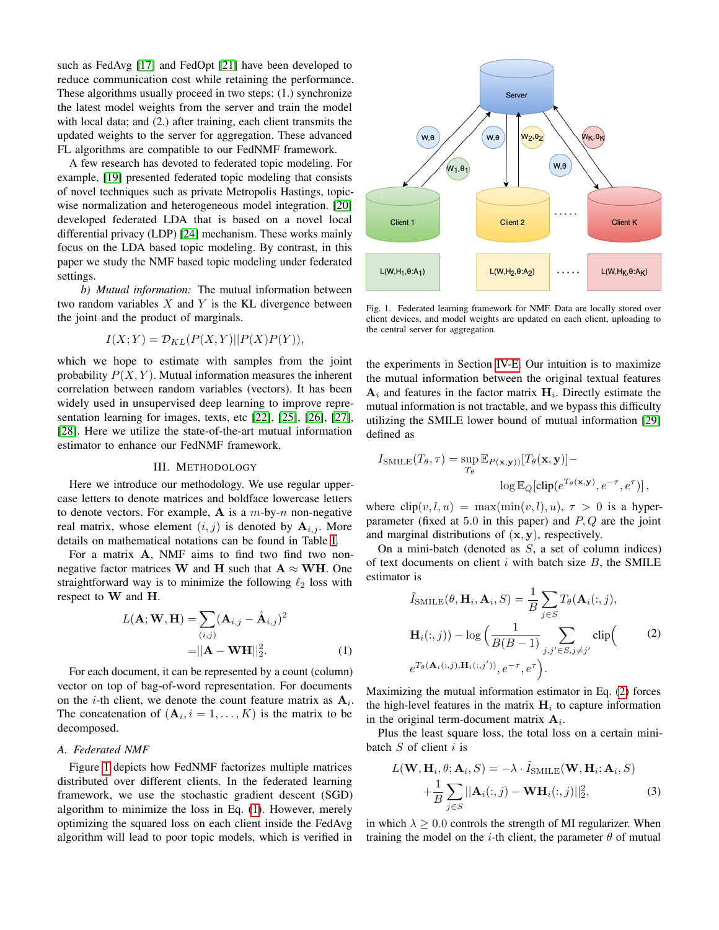such as FedAvg [\[17\]](#page-6-16) and FedOpt [\[21\]](#page-6-20) have been developed to reduce communication cost while retaining the performance. These algorithms usually proceed in two steps: (1.) synchronize the latest model weights from the server and train the model with local data; and (2.) after training, each client transmits the updated weights to the server for aggregation. These advanced FL algorithms are compatible to our FedNMF framework.

A few research has devoted to federated topic modeling. For example, [\[19\]](#page-6-18) presented federated topic modeling that consists of novel techniques such as private Metropolis Hastings, topicwise normalization and heterogeneous model integration. [\[20\]](#page-6-19) developed federated LDA that is based on a novel local differential privacy (LDP) [\[24\]](#page-6-23) mechanism. These works mainly focus on the LDA based topic modeling. By contrast, in this paper we study the NMF based topic modeling under federated settings.

*b) Mutual information:* The mutual information between two random variables  $X$  and  $Y$  is the KL divergence between the joint and the product of marginals.

$$
I(X;Y) = \mathcal{D}_{KL}(P(X,Y)||P(X)P(Y)),
$$

which we hope to estimate with samples from the joint probability  $P(X, Y)$ . Mutual information measures the inherent correlation between random variables (vectors). It has been widely used in unsupervised deep learning to improve representation learning for images, texts, etc [\[22\]](#page-6-21), [\[25\]](#page-6-24), [\[26\]](#page-6-25), [\[27\]](#page-6-26), [\[28\]](#page-6-27). Here we utilize the state-of-the-art mutual information estimator to enhance our FedNMF framework.

# III. METHODOLOGY

Here we introduce our methodology. We use regular uppercase letters to denote matrices and boldface lowercase letters to denote vectors. For example, A is a  $m$ -by- $n$  non-negative real matrix, whose element  $(i, j)$  is denoted by  $A_{i,j}$ . More details on mathematical notations can be found in Table [I.](#page-2-1)

For a matrix A, NMF aims to find two find two nonnegative factor matrices W and H such that  $A \approx WH$ . One straightforward way is to minimize the following  $\ell_2$  loss with respect to W and H.

$$
L(\mathbf{A}; \mathbf{W}, \mathbf{H}) = \sum_{(i,j)} (\mathbf{A}_{i,j} - \hat{\mathbf{A}}_{i,j})^2
$$

$$
= ||\mathbf{A} - \mathbf{W}\mathbf{H}||_2^2.
$$
 (1)

For each document, it can be represented by a count (column) vector on top of bag-of-word representation. For documents on the *i*-th client, we denote the count feature matrix as  $A_i$ . The concatenation of  $(A_i, i = 1, \ldots, K)$  is the matrix to be decomposed.

# *A. Federated NMF*

Figure [1](#page-1-0) depicts how FedNMF factorizes multiple matrices distributed over different clients. In the federated learning framework, we use the stochastic gradient descent (SGD) algorithm to minimize the loss in Eq. [\(1\)](#page-1-1). However, merely optimizing the squared loss on each client inside the FedAvg algorithm will lead to poor topic models, which is verified in



<span id="page-1-0"></span>Fig. 1. Federated learning framework for NMF. Data are locally stored over client devices, and model weights are updated on each client, uploading to the central server for aggregation.

the experiments in Section [IV-E.](#page-4-1) Our intuition is to maximize the mutual information between the original textual features  $A_i$  and features in the factor matrix  $H_i$ . Directly estimate the mutual information is not tractable, and we bypass this difficulty utilizing the SMILE lower bound of mutual information [\[29\]](#page-6-28) defined as

$$
I_{\text{SMILE}}(T_{\theta}, \tau) = \sup_{T_{\theta}} \mathbb{E}_{P(\mathbf{x}, \mathbf{y})} [T_{\theta}(\mathbf{x}, \mathbf{y})] -
$$

$$
\log \mathbb{E}_{Q}[\text{clip}(e^{T_{\theta}(\mathbf{x}, \mathbf{y})}, e^{-\tau}, e^{\tau})],
$$

where  $\text{clip}(v, l, u) = \max(\min(v, l), u), \tau > 0$  is a hyperparameter (fixed at 5.0 in this paper) and  $P, Q$  are the joint and marginal distributions of  $(x, y)$ , respectively.

On a mini-batch (denoted as  $S$ , a set of column indices) of text documents on client  $i$  with batch size  $B$ , the SMILE estimator is

<span id="page-1-2"></span>
$$
\hat{I}_{\text{SMILE}}(\theta, \mathbf{H}_i, \mathbf{A}_i, S) = \frac{1}{B} \sum_{j \in S} T_{\theta}(\mathbf{A}_i(:,j)),
$$

$$
\mathbf{H}_i(:,j)) - \log \left( \frac{1}{B(B-1)} \sum_{j,j' \in S, j \neq j'} \text{clip} \right)
$$
(2)
$$
e^{T_{\theta}(\mathbf{A}_i(:,j), \mathbf{H}_i(:,j'))}, e^{-\tau}, e^{\tau}.
$$

<span id="page-1-1"></span>Maximizing the mutual information estimator in Eq. [\(2\)](#page-1-2) forces the high-level features in the matrix  $H_i$  to capture information in the original term-document matrix  $A_i$ .

Plus the least square loss, the total loss on a certain minibatch  $S$  of client  $i$  is

<span id="page-1-3"></span>
$$
L(\mathbf{W}, \mathbf{H}_i, \theta; \mathbf{A}_i, S) = -\lambda \cdot \hat{I}_{SMILE}(\mathbf{W}, \mathbf{H}_i; \mathbf{A}_i, S)
$$
  
+ 
$$
\frac{1}{B} \sum_{j \in S} ||\mathbf{A}_i(:,j) - \mathbf{W} \mathbf{H}_i(:,j)||_2^2,
$$
 (3)

in which  $\lambda \geq 0.0$  controls the strength of MI regularizer. When training the model on the *i*-th client, the parameter  $\theta$  of mutual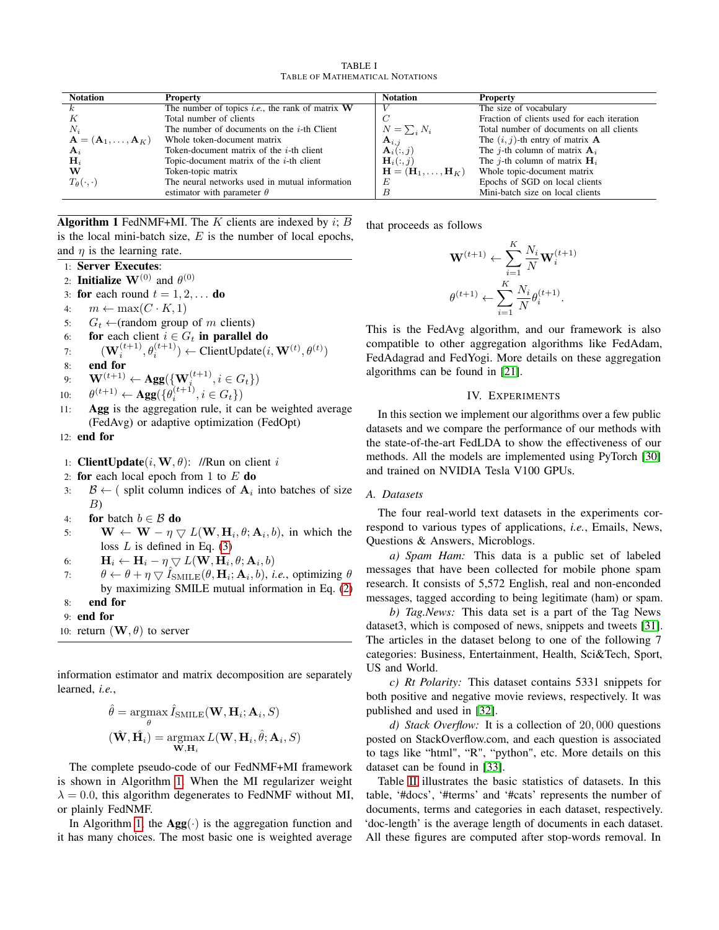TABLE I TABLE OF MATHEMATICAL NOTATIONS

<span id="page-2-1"></span>

| <b>Notation</b>                                     | <b>Property</b>                                           | <b>Notation</b>                                    | <b>Property</b>                             |
|-----------------------------------------------------|-----------------------------------------------------------|----------------------------------------------------|---------------------------------------------|
|                                                     | The number of topics <i>i.e.</i> , the rank of matrix $W$ |                                                    | The size of vocabulary                      |
|                                                     | Total number of clients                                   |                                                    | Fraction of clients used for each iteration |
| $N_i$                                               | The number of documents on the $i$ -th Client             | $N = \sum_i N_i$                                   | Total number of documents on all clients    |
| $\mathbf{A} = (\mathbf{A}_1, \ldots, \mathbf{A}_K)$ | Whole token-document matrix                               | $\mathbf{A}_{i,j}$                                 | The $(i, j)$ -th entry of matrix <b>A</b>   |
| $A_i$                                               | Token-document matrix of the $i$ -th client               | $\mathbf{A}_i(:,i)$                                | The <i>j</i> -th column of matrix $A_i$     |
| $\mathbf{H}_i$                                      | Topic-document matrix of the $i$ -th client               | $H_i(:,j)$                                         | The <i>j</i> -th column of matrix $H_i$     |
| w                                                   | Token-topic matrix                                        | $\mathbf{H} = (\mathbf{H}_1, \dots, \mathbf{H}_K)$ | Whole topic-document matrix                 |
| $T_{\theta}(\cdot,\cdot)$                           | The neural networks used in mutual information            | E                                                  | Epochs of SGD on local clients              |
|                                                     | estimator with parameter $\theta$                         |                                                    | Mini-batch size on local clients            |

<span id="page-2-2"></span>Algorithm 1 FedNMF+MI. The K clients are indexed by  $i$ ; B is the local mini-batch size,  $E$  is the number of local epochs, and  $\eta$  is the learning rate.

- 1: Server Executes:
- 2: **Initialize**  $\mathbf{W}^{(0)}$  and  $\theta^{(0)}$
- 3: for each round  $t = 1, 2, \ldots$  do
- 4:  $m \leftarrow \max(C \cdot K, 1)$
- 5:  $G_t \leftarrow$ (random group of m clients)
- 6: for each client  $i \in G_t$  in parallel do

7: 
$$
(\mathbf{W}_i^{(t+1)}, \theta_i^{(t+1)}) \leftarrow \text{ClientUpdate}(i, \mathbf{W}^{(t)}, \theta^{(t)})
$$

8: end for

9: 
$$
\mathbf{W}^{(t+1)} \leftarrow \mathbf{Agg}(\{\mathbf{W}_i^{(t+1)}, i \in G_t\})
$$

- $\mathbf{g}(\{\theta_i^{(t+1)}, i \in \mathbf{G}\})$  $10<sup>1</sup>$
- 11: Agg is the aggregation rule, it can be weighted average (FedAvg) or adaptive optimization (FedOpt)

12: end for

- 1: **ClientUpdate** $(i, \mathbf{W}, \theta)$ : //Run on client i
- 2: for each local epoch from 1 to  $E$  do
- 3:  $\mathcal{B} \leftarrow$  (split column indices of  $A_i$  into batches of size B)
- 4: for batch  $b \in \mathcal{B}$  do
- 5:  $\mathbf{W} \leftarrow \mathbf{W} \eta \nabla L(\mathbf{W}, \mathbf{H}_i, \theta; \mathbf{A}_i, b)$ , in which the loss  $L$  is defined in Eq. [\(3\)](#page-1-3)
- 6:  $\mathbf{H}_i \leftarrow \mathbf{H}_i \eta \bigtriangledown L(\mathbf{W}, \mathbf{H}_i, \theta; \mathbf{A}_i, b)$
- 7:  $\theta \leftarrow \theta + \eta \bigtriangledown \hat{I}_{\text{SMILE}}(\theta, \mathbf{H}_i; \mathbf{A}_i, b), \text{ i.e., optimizing } \theta$ by maximizing SMILE mutual information in Eq. [\(2\)](#page-1-2) 8: end for
- 9: end for
- 
- 10: return  $(\mathbf{W}, \theta)$  to server

information estimator and matrix decomposition are separately learned, *i.e.*,

$$
\hat{\theta} = \underset{\theta}{\operatorname{argmax}} \hat{I}_{\text{SMILE}}(\mathbf{W}, \mathbf{H}_i; \mathbf{A}_i, S)
$$

$$
(\hat{\mathbf{W}}, \hat{\mathbf{H}}_i) = \underset{\mathbf{W}, \mathbf{H}_i}{\operatorname{argmax}} L(\mathbf{W}, \mathbf{H}_i, \hat{\theta}; \mathbf{A}_i, S)
$$

The complete pseudo-code of our FedNMF+MI framework is shown in Algorithm [1.](#page-2-2) When the MI regularizer weight  $\lambda = 0.0$ , this algorithm degenerates to FedNMF without MI, or plainly FedNMF.

In Algorithm [1,](#page-2-2) the  $\text{Agg}(\cdot)$  is the aggregation function and it has many choices. The most basic one is weighted average that proceeds as follows

$$
\mathbf{W}^{(t+1)} \leftarrow \sum_{i=1}^{K} \frac{N_i}{N} \mathbf{W}_i^{(t+1)}
$$

$$
\theta^{(t+1)} \leftarrow \sum_{i=1}^{K} \frac{N_i}{N} \theta_i^{(t+1)}.
$$

This is the FedAvg algorithm, and our framework is also compatible to other aggregation algorithms like FedAdam, FedAdagrad and FedYogi. More details on these aggregation algorithms can be found in [\[21\]](#page-6-20).

## IV. EXPERIMENTS

<span id="page-2-0"></span>In this section we implement our algorithms over a few public datasets and we compare the performance of our methods with the state-of-the-art FedLDA to show the effectiveness of our methods. All the models are implemented using PyTorch [\[30\]](#page-6-29) and trained on NVIDIA Tesla V100 GPUs.

# *A. Datasets*

The four real-world text datasets in the experiments correspond to various types of applications, *i.e.*, Emails, News, Questions & Answers, Microblogs.

*a) Spam Ham:* This data is a public set of labeled messages that have been collected for mobile phone spam research. It consists of 5,572 English, real and non-enconded messages, tagged according to being legitimate (ham) or spam.

*b) Tag.News:* This data set is a part of the Tag News dataset3, which is composed of news, snippets and tweets [\[31\]](#page-6-30). The articles in the dataset belong to one of the following 7 categories: Business, Entertainment, Health, Sci&Tech, Sport, US and World.

*c) Rt Polarity:* This dataset contains 5331 snippets for both positive and negative movie reviews, respectively. It was published and used in [\[32\]](#page-6-31).

*d) Stack Overflow:* It is a collection of 20, 000 questions posted on StackOverflow.com, and each question is associated to tags like "html", "R", "python", etc. More details on this dataset can be found in [\[33\]](#page-6-32).

Table [II](#page-3-0) illustrates the basic statistics of datasets. In this table, '#docs', '#terms' and '#cats' represents the number of documents, terms and categories in each dataset, respectively. 'doc-length' is the average length of documents in each dataset. All these figures are computed after stop-words removal. In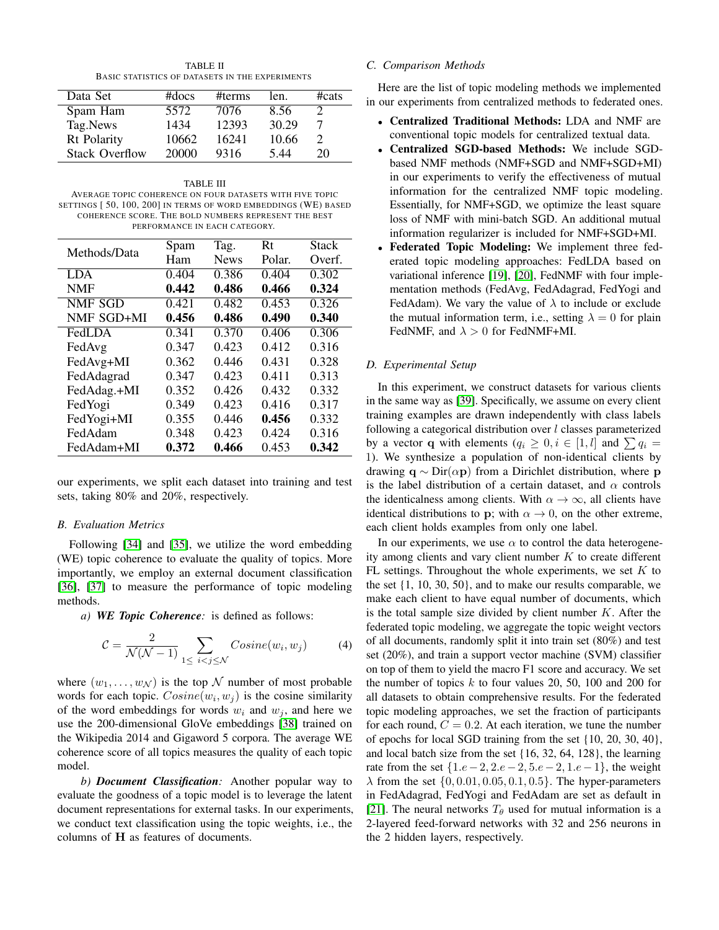TABLE II BASIC STATISTICS OF DATASETS IN THE EXPERIMENTS

<span id="page-3-0"></span>

| Data Set              | $#$ docs | #terms | len.  | $\#cats$                    |
|-----------------------|----------|--------|-------|-----------------------------|
| Spam Ham              | 5572     | 7076   | 8.56  |                             |
| Tag.News              | 1434     | 12393  | 30.29 |                             |
| Rt Polarity           | 10662    | 16241  | 10.66 | $\mathcal{D}_{\mathcal{L}}$ |
| <b>Stack Overflow</b> | 20000    | 9316   | 544   | 20                          |

<span id="page-3-1"></span>TABLE III AVERAGE TOPIC COHERENCE ON FOUR DATASETS WITH FIVE TOPIC SETTINGS [ 50, 100, 200] IN TERMS OF WORD EMBEDDINGS (WE) BASED COHERENCE SCORE. THE BOLD NUMBERS REPRESENT THE BEST PERFORMANCE IN EACH CATEGORY.

|              | Spam           | Tag.               | Rt     | <b>Stack</b> |
|--------------|----------------|--------------------|--------|--------------|
| Methods/Data |                |                    |        |              |
|              | Ham            | <b>News</b>        | Polar. | Overf.       |
| <b>LDA</b>   | 0.404          | 0.386              | 0.404  | 0.302        |
| <b>NMF</b>   | 0.442<br>0.486 |                    | 0.466  | 0.324        |
| NMF SGD      | 0.421          | $\overline{0.482}$ | 0.453  |              |
| NMF SGD+MI   | 0.456          | 0.486              | 0.490  | 0.340        |
| FedLDA       | 0.341          | 0.370              | 0.406  | 0.306        |
| FedAvg       | 0.347          | 0.423              | 0.412  | 0.316        |
| FedAvg+MI    | 0.362          | 0.446              | 0.431  | 0.328        |
| FedAdagrad   | 0.347          | 0.423              | 0.411  | 0.313        |
| FedAdag.+MI  | 0.352          | 0.426              | 0.432  | 0.332        |
| FedYogi      | 0.349          | 0.423              | 0.416  | 0.317        |
| FedYogi+MI   | 0.355          | 0.446              | 0.456  | 0.332        |
| FedAdam      | 0.348          | 0.423              | 0.424  | 0.316        |
| FedAdam+MI   | 0.372          | 0.466              | 0.453  | 0.342        |

our experiments, we split each dataset into training and test sets, taking 80% and 20%, respectively.

# *B. Evaluation Metrics*

Following [\[34\]](#page-6-33) and [\[35\]](#page-6-34), we utilize the word embedding (WE) topic coherence to evaluate the quality of topics. More importantly, we employ an external document classification [\[36\]](#page-6-35), [\[37\]](#page-6-36) to measure the performance of topic modeling methods.

*a) WE Topic Coherence:* is defined as follows:

$$
C = \frac{2}{\mathcal{N}(\mathcal{N} - 1)} \sum_{1 \le i < j \le \mathcal{N}} Cosine(w_i, w_j) \tag{4}
$$

where  $(w_1, \ldots, w_N)$  is the top N number of most probable words for each topic.  $Cosine(w_i, w_j)$  is the cosine similarity of the word embeddings for words  $w_i$  and  $w_j$ , and here we use the 200-dimensional GloVe embeddings [\[38\]](#page-6-37) trained on the Wikipedia 2014 and Gigaword 5 corpora. The average WE coherence score of all topics measures the quality of each topic model.

*b) Document Classification:* Another popular way to evaluate the goodness of a topic model is to leverage the latent document representations for external tasks. In our experiments, we conduct text classification using the topic weights, i.e., the columns of H as features of documents.

# *C. Comparison Methods*

Here are the list of topic modeling methods we implemented in our experiments from centralized methods to federated ones.

- Centralized Traditional Methods: LDA and NMF are conventional topic models for centralized textual data.
- Centralized SGD-based Methods: We include SGDbased NMF methods (NMF+SGD and NMF+SGD+MI) in our experiments to verify the effectiveness of mutual information for the centralized NMF topic modeling. Essentially, for NMF+SGD, we optimize the least square loss of NMF with mini-batch SGD. An additional mutual information regularizer is included for NMF+SGD+MI.
- Federated Topic Modeling: We implement three federated topic modeling approaches: FedLDA based on variational inference [\[19\]](#page-6-18), [\[20\]](#page-6-19), FedNMF with four implementation methods (FedAvg, FedAdagrad, FedYogi and FedAdam). We vary the value of  $\lambda$  to include or exclude the mutual information term, i.e., setting  $\lambda = 0$  for plain FedNMF, and  $\lambda > 0$  for FedNMF+MI.

## *D. Experimental Setup*

In this experiment, we construct datasets for various clients in the same way as [\[39\]](#page-6-38). Specifically, we assume on every client training examples are drawn independently with class labels following a categorical distribution over  $l$  classes parameterized by a vector q with elements  $(q_i \geq 0, i \in [1, l]$  and  $\sum q_i =$ 1). We synthesize a population of non-identical clients by drawing  $q \sim Dir(\alpha p)$  from a Dirichlet distribution, where p is the label distribution of a certain dataset, and  $\alpha$  controls the identicalness among clients. With  $\alpha \to \infty$ , all clients have identical distributions to p; with  $\alpha \rightarrow 0$ , on the other extreme, each client holds examples from only one label.

In our experiments, we use  $\alpha$  to control the data heterogeneity among clients and vary client number  $K$  to create different FL settings. Throughout the whole experiments, we set  $K$  to the set {1, 10, 30, 50}, and to make our results comparable, we make each client to have equal number of documents, which is the total sample size divided by client number  $K$ . After the federated topic modeling, we aggregate the topic weight vectors of all documents, randomly split it into train set (80%) and test set (20%), and train a support vector machine (SVM) classifier on top of them to yield the macro F1 score and accuracy. We set the number of topics  $k$  to four values 20, 50, 100 and 200 for all datasets to obtain comprehensive results. For the federated topic modeling approaches, we set the fraction of participants for each round,  $C = 0.2$ . At each iteration, we tune the number of epochs for local SGD training from the set {10, 20, 30, 40}, and local batch size from the set {16, 32, 64, 128}, the learning rate from the set  $\{1.e-2, 2.e-2, 5.e-2, 1.e-1\}$ , the weight  $\lambda$  from the set  $\{0, 0.01, 0.05, 0.1, 0.5\}$ . The hyper-parameters in FedAdagrad, FedYogi and FedAdam are set as default in [\[21\]](#page-6-20). The neural networks  $T_{\theta}$  used for mutual information is a 2-layered feed-forward networks with 32 and 256 neurons in the 2 hidden layers, respectively.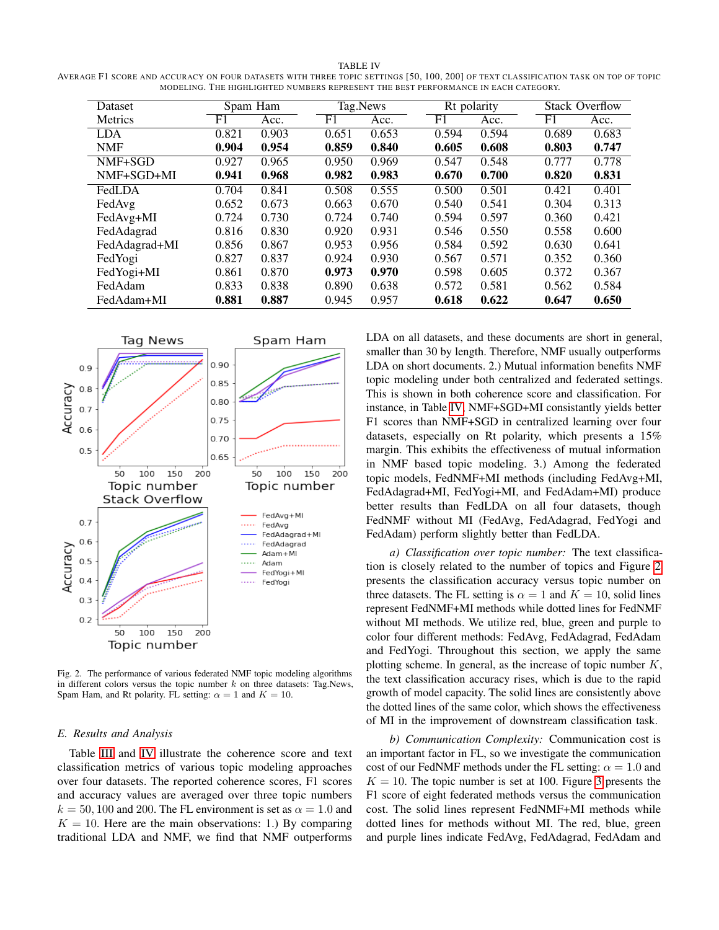<span id="page-4-0"></span>TABLE IV AVERAGE F1 SCORE AND ACCURACY ON FOUR DATASETS WITH THREE TOPIC SETTINGS [50, 100, 200] OF TEXT CLASSIFICATION TASK ON TOP OF TOPIC MODELING. THE HIGHLIGHTED NUMBERS REPRESENT THE BEST PERFORMANCE IN EACH CATEGORY.

| Dataset        | Spam Ham       |       | Tag.News |       |       | Rt polarity |                | <b>Stack Overflow</b> |  |
|----------------|----------------|-------|----------|-------|-------|-------------|----------------|-----------------------|--|
| <b>Metrics</b> | F <sub>1</sub> | Acc.  | F1       | Acc.  | F1    | Acc.        | F <sub>1</sub> | Acc.                  |  |
| <b>LDA</b>     | 0.821          | 0.903 | 0.651    | 0.653 | 0.594 | 0.594       | 0.689          | 0.683                 |  |
| <b>NMF</b>     | 0.904          | 0.954 | 0.859    | 0.840 | 0.605 | 0.608       | 0.803          | 0.747                 |  |
| NMF+SGD        | 0.927          | 0.965 | 0.950    | 0.969 | 0.547 | 0.548       | 0.777          | 0.778                 |  |
| NMF+SGD+MI     | 0.941          | 0.968 | 0.982    | 0.983 | 0.670 | 0.700       | 0.820          | 0.831                 |  |
| FedLDA         | 0.704          | 0.841 | 0.508    | 0.555 | 0.500 | 0.501       | 0.421          | 0.401                 |  |
| FedAvg         | 0.652          | 0.673 | 0.663    | 0.670 | 0.540 | 0.541       | 0.304          | 0.313                 |  |
| FedAvg+MI      | 0.724          | 0.730 | 0.724    | 0.740 | 0.594 | 0.597       | 0.360          | 0.421                 |  |
| FedAdagrad     | 0.816          | 0.830 | 0.920    | 0.931 | 0.546 | 0.550       | 0.558          | 0.600                 |  |
| FedAdagrad+MI  | 0.856          | 0.867 | 0.953    | 0.956 | 0.584 | 0.592       | 0.630          | 0.641                 |  |
| FedYogi        | 0.827          | 0.837 | 0.924    | 0.930 | 0.567 | 0.571       | 0.352          | 0.360                 |  |
| FedYogi+MI     | 0.861          | 0.870 | 0.973    | 0.970 | 0.598 | 0.605       | 0.372          | 0.367                 |  |
| FedAdam        | 0.833          | 0.838 | 0.890    | 0.638 | 0.572 | 0.581       | 0.562          | 0.584                 |  |
| FedAdam+MI     | 0.881          | 0.887 | 0.945    | 0.957 | 0.618 | 0.622       | 0.647          | 0.650                 |  |



<span id="page-4-2"></span>Fig. 2. The performance of various federated NMF topic modeling algorithms in different colors versus the topic number  $k$  on three datasets: Tag.News, Spam Ham, and Rt polarity. FL setting:  $\alpha = 1$  and  $K = 10$ .

### <span id="page-4-1"></span>*E. Results and Analysis*

Table [III](#page-3-1) and [IV](#page-4-0) illustrate the coherence score and text classification metrics of various topic modeling approaches over four datasets. The reported coherence scores, F1 scores and accuracy values are averaged over three topic numbers  $k = 50, 100$  and 200. The FL environment is set as  $\alpha = 1.0$  and  $K = 10$ . Here are the main observations: 1.) By comparing traditional LDA and NMF, we find that NMF outperforms

LDA on all datasets, and these documents are short in general, smaller than 30 by length. Therefore, NMF usually outperforms LDA on short documents. 2.) Mutual information benefits NMF topic modeling under both centralized and federated settings. This is shown in both coherence score and classification. For instance, in Table [IV,](#page-4-0) NMF+SGD+MI consistantly yields better F1 scores than NMF+SGD in centralized learning over four datasets, especially on Rt polarity, which presents a 15% margin. This exhibits the effectiveness of mutual information in NMF based topic modeling. 3.) Among the federated topic models, FedNMF+MI methods (including FedAvg+MI, FedAdagrad+MI, FedYogi+MI, and FedAdam+MI) produce better results than FedLDA on all four datasets, though FedNMF without MI (FedAvg, FedAdagrad, FedYogi and FedAdam) perform slightly better than FedLDA.

*a) Classification over topic number:* The text classification is closely related to the number of topics and Figure [2](#page-4-2) presents the classification accuracy versus topic number on three datasets. The FL setting is  $\alpha = 1$  and  $K = 10$ , solid lines represent FedNMF+MI methods while dotted lines for FedNMF without MI methods. We utilize red, blue, green and purple to color four different methods: FedAvg, FedAdagrad, FedAdam and FedYogi. Throughout this section, we apply the same plotting scheme. In general, as the increase of topic number  $K$ , the text classification accuracy rises, which is due to the rapid growth of model capacity. The solid lines are consistently above the dotted lines of the same color, which shows the effectiveness of MI in the improvement of downstream classification task.

*b) Communication Complexity:* Communication cost is an important factor in FL, so we investigate the communication cost of our FedNMF methods under the FL setting:  $\alpha = 1.0$  and  $K = 10$ . The topic number is set at 100. Figure [3](#page-5-0) presents the F1 score of eight federated methods versus the communication cost. The solid lines represent FedNMF+MI methods while dotted lines for methods without MI. The red, blue, green and purple lines indicate FedAvg, FedAdagrad, FedAdam and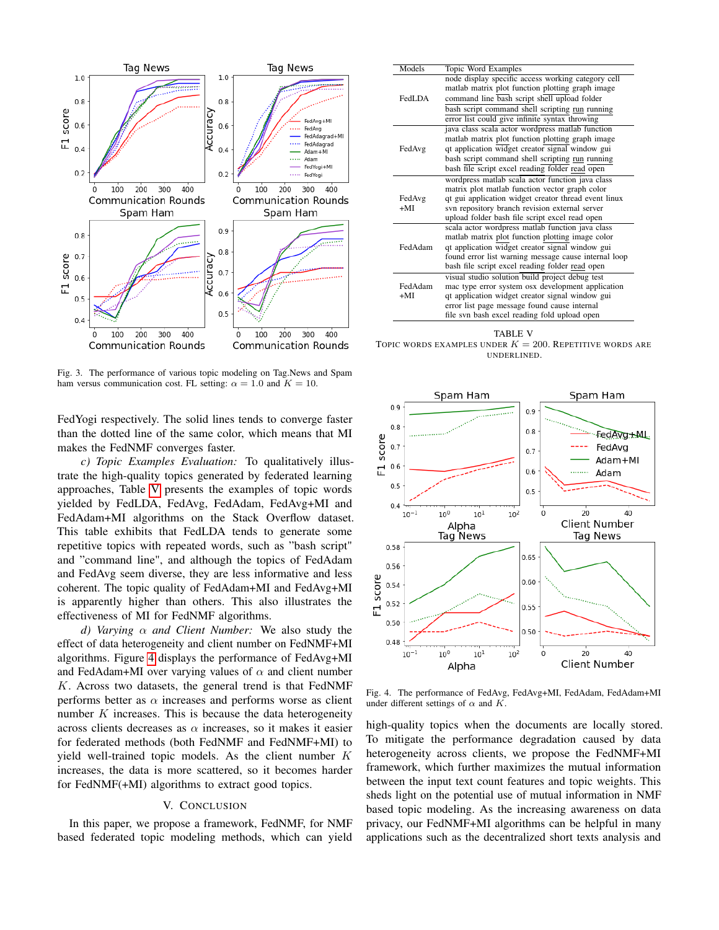

<span id="page-5-0"></span>Fig. 3. The performance of various topic modeling on Tag.News and Spam ham versus communication cost. FL setting:  $\alpha = 1.0$  and  $K = 10$ .

FedYogi respectively. The solid lines tends to converge faster than the dotted line of the same color, which means that MI makes the FedNMF converges faster.

*c) Topic Examples Evaluation:* To qualitatively illustrate the high-quality topics generated by federated learning approaches, Table [V](#page-5-1) presents the examples of topic words yielded by FedLDA, FedAvg, FedAdam, FedAvg+MI and FedAdam+MI algorithms on the Stack Overflow dataset. This table exhibits that FedLDA tends to generate some repetitive topics with repeated words, such as "bash script" and "command line", and although the topics of FedAdam and FedAvg seem diverse, they are less informative and less coherent. The topic quality of FedAdam+MI and FedAvg+MI is apparently higher than others. This also illustrates the effectiveness of MI for FedNMF algorithms.

*d) Varying* α *and Client Number:* We also study the effect of data heterogeneity and client number on FedNMF+MI algorithms. Figure [4](#page-5-2) displays the performance of FedAvg+MI and FedAdam+MI over varying values of  $\alpha$  and client number  $K$ . Across two datasets, the general trend is that FedNMF performs better as  $\alpha$  increases and performs worse as client number  $K$  increases. This is because the data heterogeneity across clients decreases as  $\alpha$  increases, so it makes it easier for federated methods (both FedNMF and FedNMF+MI) to yield well-trained topic models. As the client number K increases, the data is more scattered, so it becomes harder for FedNMF(+MI) algorithms to extract good topics.

# V. CONCLUSION

In this paper, we propose a framework, FedNMF, for NMF based federated topic modeling methods, which can yield

| Models  | Topic Word Examples                                  |
|---------|------------------------------------------------------|
|         | node display specific access working category cell   |
|         | matlab matrix plot function plotting graph image     |
| FedLDA  | command line bash script shell upload folder         |
|         | bash script command shell scripting run running      |
|         | error list could give infinite syntax throwing       |
|         | java class scala actor wordpress matlab function     |
|         | matlab matrix plot function plotting graph image     |
| FedAvg  | qt application widget creator signal window gui      |
|         | bash script command shell scripting run running      |
|         | bash file script excel reading folder read open      |
|         | wordpress matlab scala actor function java class     |
|         | matrix plot matlab function vector graph color       |
| FedAvg  | qt gui application widget creator thread event linux |
| $+MI$   | svn repository branch revision external server       |
|         | upload folder bash file script excel read open       |
|         | scala actor wordpress matlab function java class     |
|         | matlab matrix plot function plotting image color     |
| FedAdam | qt application widget creator signal window gui      |
|         | found error list warning message cause internal loop |
|         | bash file script excel reading folder read open      |
|         | visual studio solution build project debug test      |
| FedAdam | mac type error system osx development application    |
| $+MI$   | qt application widget creator signal window gui      |
|         | error list page message found cause internal         |
|         | file svn bash excel reading fold upload open         |

<span id="page-5-1"></span>TABLE V TOPIC WORDS EXAMPLES UNDER  $K = 200$ . REPETITIVE WORDS ARE UNDERLINED.



<span id="page-5-2"></span>Fig. 4. The performance of FedAvg, FedAvg+MI, FedAdam, FedAdam+MI under different settings of  $\alpha$  and  $K$ .

high-quality topics when the documents are locally stored. To mitigate the performance degradation caused by data heterogeneity across clients, we propose the FedNMF+MI framework, which further maximizes the mutual information between the input text count features and topic weights. This sheds light on the potential use of mutual information in NMF based topic modeling. As the increasing awareness on data privacy, our FedNMF+MI algorithms can be helpful in many applications such as the decentralized short texts analysis and